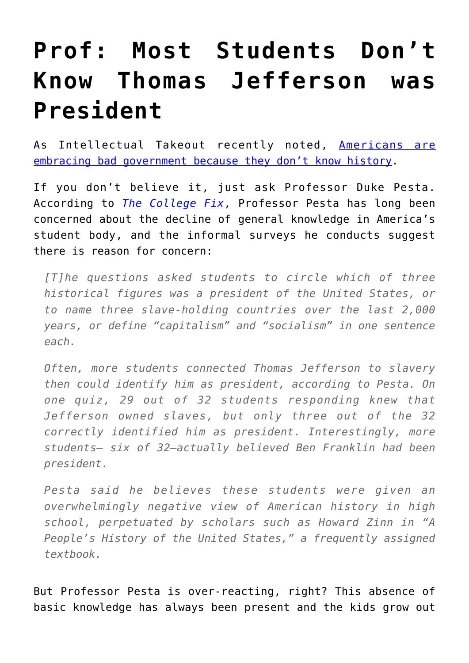## **[Prof: Most Students Don't](https://intellectualtakeout.org/2016/10/prof-most-students-dont-know-thomas-jefferson-was-president/) [Know Thomas Jefferson was](https://intellectualtakeout.org/2016/10/prof-most-students-dont-know-thomas-jefferson-was-president/) [President](https://intellectualtakeout.org/2016/10/prof-most-students-dont-know-thomas-jefferson-was-president/)**

As Intellectual Takeout recently noted, [Americans are](https://www.intellectualtakeout.org/blog/americans-are-embracing-bad-government-because-they-dont-know-history) [embracing bad government because they don't know history.](https://www.intellectualtakeout.org/blog/americans-are-embracing-bad-government-because-they-dont-know-history)

If you don't believe it, just ask Professor Duke Pesta. According to *[The College Fix](http://www.thecollegefix.com/post/29719/)*, Professor Pesta has long been concerned about the decline of general knowledge in America's student body, and the informal surveys he conducts suggest there is reason for concern:

*[T]he questions asked students to circle which of three historical figures was a president of the United States, or to name three slave-holding countries over the last 2,000 years, or define "capitalism" and "socialism" in one sentence each.*

*Often, more students connected Thomas Jefferson to slavery then could identify him as president, according to Pesta. On one quiz, 29 out of 32 students responding knew that Jefferson owned slaves, but only three out of the 32 correctly identified him as president. Interestingly, more students— six of 32—actually believed Ben Franklin had been president.*

*Pesta said he believes these students were given an overwhelmingly negative view of American history in high school, perpetuated by scholars such as Howard Zinn in "A People's History of the United States," a frequently assigned textbook.*

But Professor Pesta is over-reacting, right? This absence of basic knowledge has always been present and the kids grow out